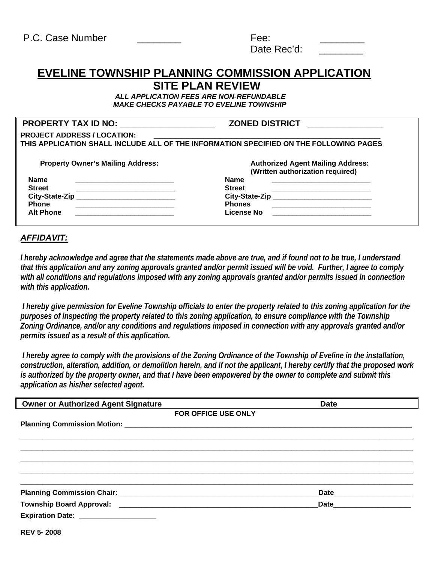| P.C. Case Number | Fee:        |  |
|------------------|-------------|--|
|                  | Date Rec'd: |  |

# **EVELINE TOWNSHIP PLANNING COMMISSION APPLICATION SITE PLAN REVIEW**

 *ALL APPLICATION FEES ARE NON-REFUNDABLE MAKE CHECKS PAYABLE TO EVELINE TOWNSHIP* 

#### **PROPERTY TAX ID NO: \_\_\_\_\_\_\_\_\_\_\_\_\_\_\_\_\_\_\_\_ ZONED DISTRICT \_\_\_\_\_\_\_\_\_\_\_\_\_\_\_\_**

| <b>PROJECT ADDRESS / LOCATION:</b>                                                     |                                          |  |  |
|----------------------------------------------------------------------------------------|------------------------------------------|--|--|
| THIS APPLICATION SHALL INCLUDE ALL OF THE INFORMATION SPECIFIED ON THE FOLLOWING PAGES |                                          |  |  |
|                                                                                        |                                          |  |  |
| <b>Property Owner's Mailing Address:</b>                                               | <b>Authorized Agent Mailing Address:</b> |  |  |
|                                                                                        | (Written authorization required)         |  |  |
| <b>Name</b>                                                                            | <b>Name</b>                              |  |  |
| <b>Street</b>                                                                          | <b>Street</b>                            |  |  |
| <b>City-State-Zip</b>                                                                  | City-State-Zip                           |  |  |
| <b>Phone</b>                                                                           | <b>Phones</b>                            |  |  |
| <b>Alt Phone</b>                                                                       | License No                               |  |  |

# *AFFIDAVIT:*

*I hereby acknowledge and agree that the statements made above are true, and if found not to be true, I understand that this application and any zoning approvals granted and/or permit issued will be void. Further, I agree to comply with all conditions and regulations imposed with any zoning approvals granted and/or permits issued in connection with this application.* 

 *I hereby give permission for Eveline Township officials to enter the property related to this zoning application for the purposes of inspecting the property related to this zoning application, to ensure compliance with the Township Zoning Ordinance, and/or any conditions and regulations imposed in connection with any approvals granted and/or permits issued as a result of this application.* 

 *I hereby agree to comply with the provisions of the Zoning Ordinance of the Township of Eveline in the installation, construction, alteration, addition, or demolition herein, and if not the applicant, I hereby certify that the proposed work is authorized by the property owner, and that I have been empowered by the owner to complete and submit this application as his/her selected agent.* 

| <b>Owner or Authorized Agent Signature</b>        | <b>Date</b> |
|---------------------------------------------------|-------------|
| FOR OFFICE USE ONLY                               |             |
|                                                   |             |
|                                                   |             |
|                                                   |             |
|                                                   |             |
|                                                   |             |
|                                                   |             |
|                                                   |             |
| Township Board Approval: Township Board Approval: | Date        |
| Expiration Date: ___________________              |             |
| <b>RFV 5-2008</b>                                 |             |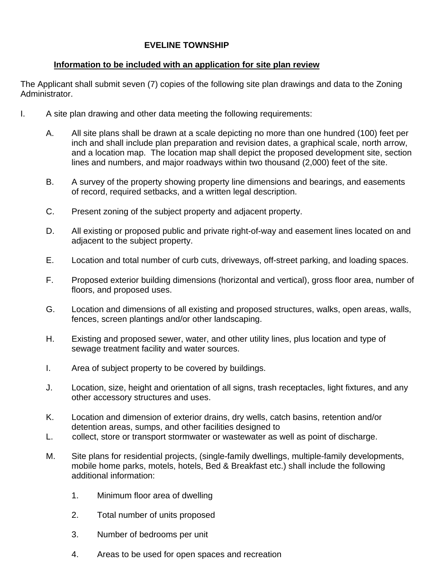## **EVELINE TOWNSHIP**

## **Information to be included with an application for site plan review**

The Applicant shall submit seven (7) copies of the following site plan drawings and data to the Zoning Administrator.

- I. A site plan drawing and other data meeting the following requirements:
	- A. All site plans shall be drawn at a scale depicting no more than one hundred (100) feet per inch and shall include plan preparation and revision dates, a graphical scale, north arrow, and a location map. The location map shall depict the proposed development site, section lines and numbers, and major roadways within two thousand (2,000) feet of the site.
	- B. A survey of the property showing property line dimensions and bearings, and easements of record, required setbacks, and a written legal description.
	- C. Present zoning of the subject property and adjacent property.
	- D. All existing or proposed public and private right-of-way and easement lines located on and adjacent to the subject property.
	- E. Location and total number of curb cuts, driveways, off-street parking, and loading spaces.
	- F. Proposed exterior building dimensions (horizontal and vertical), gross floor area, number of floors, and proposed uses.
	- G. Location and dimensions of all existing and proposed structures, walks, open areas, walls, fences, screen plantings and/or other landscaping.
	- H. Existing and proposed sewer, water, and other utility lines, plus location and type of sewage treatment facility and water sources.
	- I. Area of subject property to be covered by buildings.
	- J. Location, size, height and orientation of all signs, trash receptacles, light fixtures, and any other accessory structures and uses.
	- K. Location and dimension of exterior drains, dry wells, catch basins, retention and/or detention areas, sumps, and other facilities designed to
	- L. collect, store or transport stormwater or wastewater as well as point of discharge.
	- M. Site plans for residential projects, (single-family dwellings, multiple-family developments, mobile home parks, motels, hotels, Bed & Breakfast etc.) shall include the following additional information:
		- 1. Minimum floor area of dwelling
		- 2. Total number of units proposed
		- 3. Number of bedrooms per unit
		- 4. Areas to be used for open spaces and recreation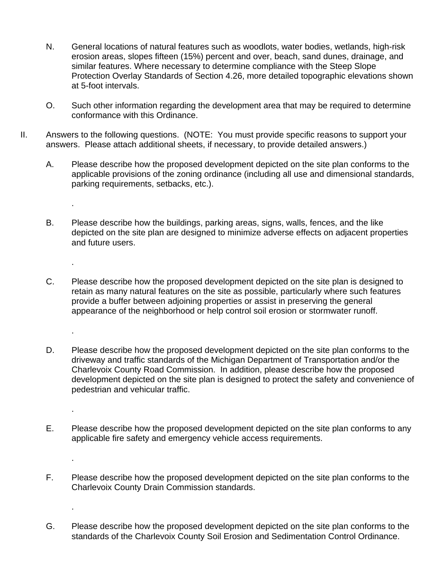- N. General locations of natural features such as woodlots, water bodies, wetlands, high-risk erosion areas, slopes fifteen (15%) percent and over, beach, sand dunes, drainage, and similar features. Where necessary to determine compliance with the Steep Slope Protection Overlay Standards of Section 4.26, more detailed topographic elevations shown at 5-foot intervals.
- O. Such other information regarding the development area that may be required to determine conformance with this Ordinance.
- II. Answers to the following questions. (NOTE: You must provide specific reasons to support your answers. Please attach additional sheets, if necessary, to provide detailed answers.)

.

.

.

.

.

.

- A. Please describe how the proposed development depicted on the site plan conforms to the applicable provisions of the zoning ordinance (including all use and dimensional standards, parking requirements, setbacks, etc.).
- B. Please describe how the buildings, parking areas, signs, walls, fences, and the like depicted on the site plan are designed to minimize adverse effects on adjacent properties and future users.
- C. Please describe how the proposed development depicted on the site plan is designed to retain as many natural features on the site as possible, particularly where such features provide a buffer between adjoining properties or assist in preserving the general appearance of the neighborhood or help control soil erosion or stormwater runoff.
- D. Please describe how the proposed development depicted on the site plan conforms to the driveway and traffic standards of the Michigan Department of Transportation and/or the Charlevoix County Road Commission. In addition, please describe how the proposed development depicted on the site plan is designed to protect the safety and convenience of pedestrian and vehicular traffic.
- E. Please describe how the proposed development depicted on the site plan conforms to any applicable fire safety and emergency vehicle access requirements.
- F. Please describe how the proposed development depicted on the site plan conforms to the Charlevoix County Drain Commission standards.
- G. Please describe how the proposed development depicted on the site plan conforms to the standards of the Charlevoix County Soil Erosion and Sedimentation Control Ordinance.